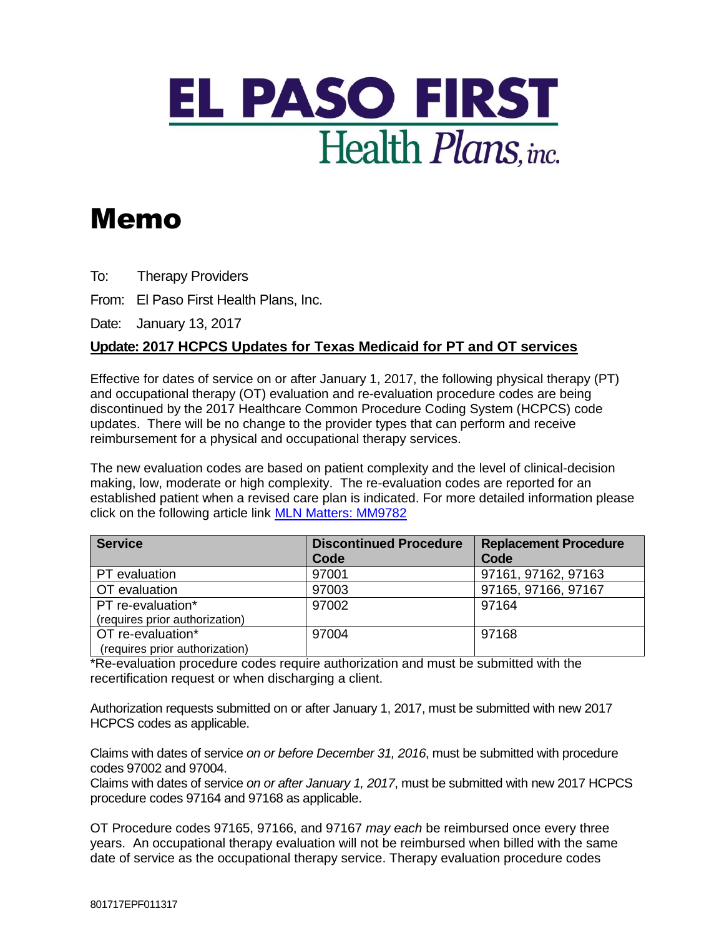

## Memo

To: Therapy Providers

From: El Paso First Health Plans, Inc.

Date: January 13, 2017

## **Update: 2017 HCPCS Updates for Texas Medicaid for PT and OT services**

Effective for dates of service on or after January 1, 2017, the following physical therapy (PT) and occupational therapy (OT) evaluation and re-evaluation procedure codes are being discontinued by the 2017 Healthcare Common Procedure Coding System (HCPCS) code updates. There will be no change to the provider types that can perform and receive reimbursement for a physical and occupational therapy services.

The new evaluation codes are based on patient complexity and the level of clinical-decision making, low, moderate or high complexity. The re-evaluation codes are reported for an established patient when a revised care plan is indicated. For more detailed information please click on the following article link [MLN Matters: MM9782](https://www.cms.gov/Outreach-and-Education/Medicare-Learning-Network-MLN/MLNMattersArticles/Downloads/MM9782.pdf)

| <b>Service</b>                 | <b>Discontinued Procedure</b><br>Code | <b>Replacement Procedure</b><br>Code |
|--------------------------------|---------------------------------------|--------------------------------------|
| PT evaluation                  | 97001                                 | 97161, 97162, 97163                  |
| OT evaluation                  | 97003                                 | 97165, 97166, 97167                  |
| PT re-evaluation*              | 97002                                 | 97164                                |
| (requires prior authorization) |                                       |                                      |
| OT re-evaluation*              | 97004                                 | 97168                                |
| (requires prior authorization) |                                       |                                      |

\*Re-evaluation procedure codes require authorization and must be submitted with the recertification request or when discharging a client.

Authorization requests submitted on or after January 1, 2017, must be submitted with new 2017 HCPCS codes as applicable.

Claims with dates of service *on or before December 31, 2016*, must be submitted with procedure codes 97002 and 97004.

Claims with dates of service *on or after January 1, 2017*, must be submitted with new 2017 HCPCS procedure codes 97164 and 97168 as applicable.

OT Procedure codes 97165, 97166, and 97167 *may each* be reimbursed once every three years. An occupational therapy evaluation will not be reimbursed when billed with the same date of service as the occupational therapy service. Therapy evaluation procedure codes